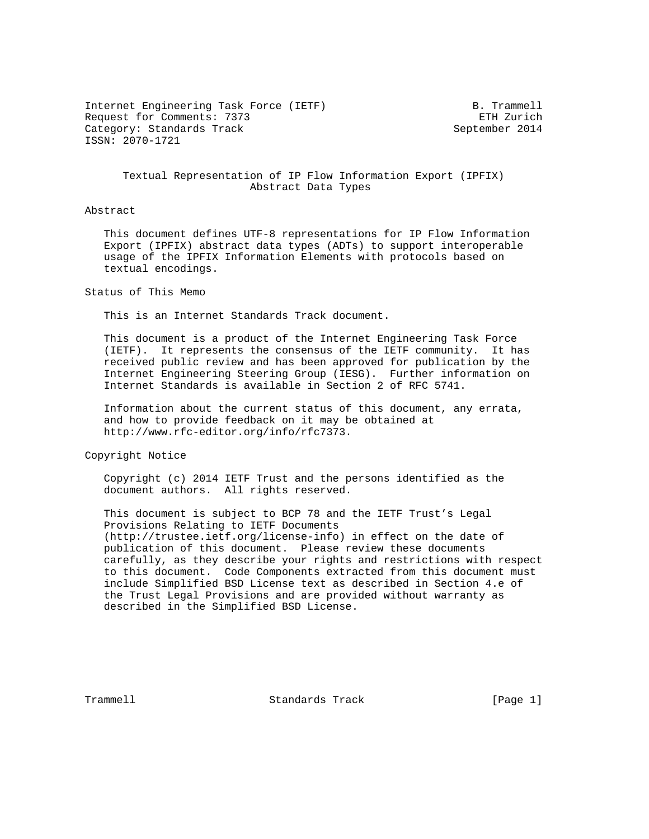Internet Engineering Task Force (IETF) B. Trammell Request for Comments: 7373 ETH Zurich Category: Standards Track September 2014 ISSN: 2070-1721

 Textual Representation of IP Flow Information Export (IPFIX) Abstract Data Types

#### Abstract

 This document defines UTF-8 representations for IP Flow Information Export (IPFIX) abstract data types (ADTs) to support interoperable usage of the IPFIX Information Elements with protocols based on textual encodings.

Status of This Memo

This is an Internet Standards Track document.

 This document is a product of the Internet Engineering Task Force (IETF). It represents the consensus of the IETF community. It has received public review and has been approved for publication by the Internet Engineering Steering Group (IESG). Further information on Internet Standards is available in Section 2 of RFC 5741.

 Information about the current status of this document, any errata, and how to provide feedback on it may be obtained at http://www.rfc-editor.org/info/rfc7373.

Copyright Notice

 Copyright (c) 2014 IETF Trust and the persons identified as the document authors. All rights reserved.

 This document is subject to BCP 78 and the IETF Trust's Legal Provisions Relating to IETF Documents (http://trustee.ietf.org/license-info) in effect on the date of publication of this document. Please review these documents carefully, as they describe your rights and restrictions with respect to this document. Code Components extracted from this document must include Simplified BSD License text as described in Section 4.e of the Trust Legal Provisions and are provided without warranty as described in the Simplified BSD License.

Trammell **Standards Track** [Page 1]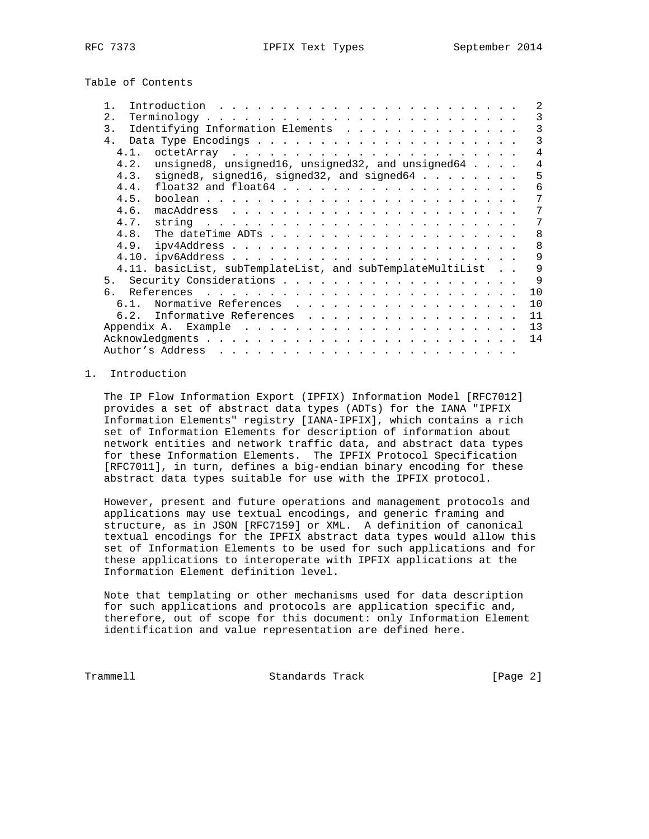Table of Contents

|                                                                                 |  | 2  |
|---------------------------------------------------------------------------------|--|----|
| 2.                                                                              |  | 3  |
| Identifying Information Elements<br>3.                                          |  | 3  |
| 4.                                                                              |  | 3  |
| 4.1.                                                                            |  | 4  |
| unsigned8, unsigned16, unsigned32, and unsigned64 $\ldots$ .<br>4.2.            |  | 4  |
| signed8, signed16, signed32, and signed64<br>4.3.                               |  | 5  |
| 4.4.<br>$float32$ and $float64$                                                 |  | 6  |
| 4.5.                                                                            |  | 7  |
| 4.6.                                                                            |  | 7  |
| 4.7.<br>string $\ldots \ldots \ldots \ldots \ldots \ldots \ldots \ldots \ldots$ |  | 7  |
| 4.8.                                                                            |  | 8  |
|                                                                                 |  | 8  |
|                                                                                 |  | 9  |
| 4.11. basicList, subTemplateList, and subTemplateMultiList                      |  | 9  |
|                                                                                 |  | 9  |
| რ.                                                                              |  | 10 |
| Normative References<br>6.1.                                                    |  | 10 |
| 6.2. Informative References                                                     |  | 11 |
|                                                                                 |  | 13 |
|                                                                                 |  | 14 |
|                                                                                 |  |    |

## 1. Introduction

 The IP Flow Information Export (IPFIX) Information Model [RFC7012] provides a set of abstract data types (ADTs) for the IANA "IPFIX Information Elements" registry [IANA-IPFIX], which contains a rich set of Information Elements for description of information about network entities and network traffic data, and abstract data types for these Information Elements. The IPFIX Protocol Specification [RFC7011], in turn, defines a big-endian binary encoding for these abstract data types suitable for use with the IPFIX protocol.

 However, present and future operations and management protocols and applications may use textual encodings, and generic framing and structure, as in JSON [RFC7159] or XML. A definition of canonical textual encodings for the IPFIX abstract data types would allow this set of Information Elements to be used for such applications and for these applications to interoperate with IPFIX applications at the Information Element definition level.

 Note that templating or other mechanisms used for data description for such applications and protocols are application specific and, therefore, out of scope for this document: only Information Element identification and value representation are defined here.

Trammell **Standards Track** [Page 2]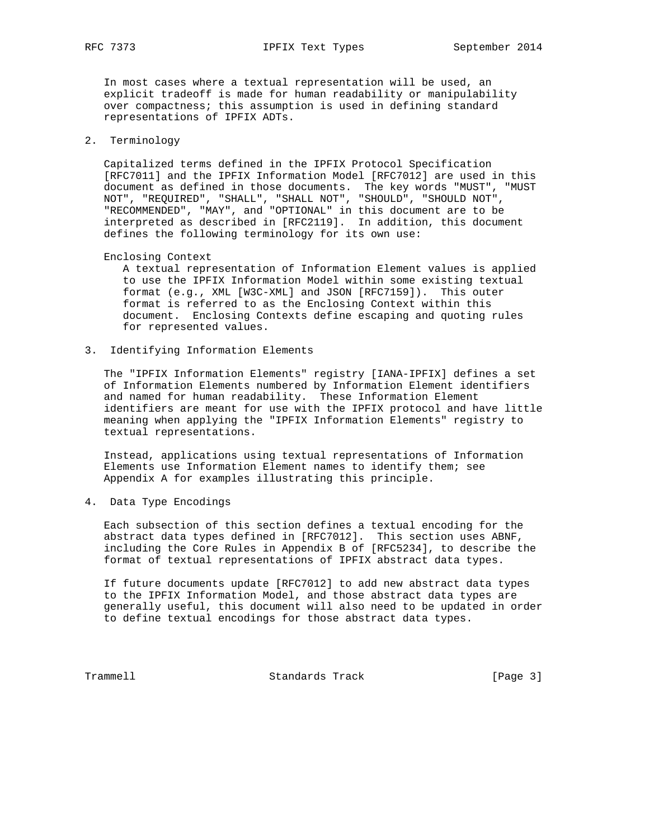RFC 7373 **IPFIX Text Types** September 2014

 In most cases where a textual representation will be used, an explicit tradeoff is made for human readability or manipulability over compactness; this assumption is used in defining standard representations of IPFIX ADTs.

## 2. Terminology

 Capitalized terms defined in the IPFIX Protocol Specification [RFC7011] and the IPFIX Information Model [RFC7012] are used in this document as defined in those documents. The key words "MUST", "MUST NOT", "REQUIRED", "SHALL", "SHALL NOT", "SHOULD", "SHOULD NOT", "RECOMMENDED", "MAY", and "OPTIONAL" in this document are to be interpreted as described in [RFC2119]. In addition, this document defines the following terminology for its own use:

Enclosing Context

 A textual representation of Information Element values is applied to use the IPFIX Information Model within some existing textual format (e.g., XML [W3C-XML] and JSON [RFC7159]). This outer format is referred to as the Enclosing Context within this document. Enclosing Contexts define escaping and quoting rules for represented values.

3. Identifying Information Elements

 The "IPFIX Information Elements" registry [IANA-IPFIX] defines a set of Information Elements numbered by Information Element identifiers and named for human readability. These Information Element identifiers are meant for use with the IPFIX protocol and have little meaning when applying the "IPFIX Information Elements" registry to textual representations.

 Instead, applications using textual representations of Information Elements use Information Element names to identify them; see Appendix A for examples illustrating this principle.

4. Data Type Encodings

 Each subsection of this section defines a textual encoding for the abstract data types defined in [RFC7012]. This section uses ABNF, including the Core Rules in Appendix B of [RFC5234], to describe the format of textual representations of IPFIX abstract data types.

 If future documents update [RFC7012] to add new abstract data types to the IPFIX Information Model, and those abstract data types are generally useful, this document will also need to be updated in order to define textual encodings for those abstract data types.

Trammell **Standards Track** [Page 3]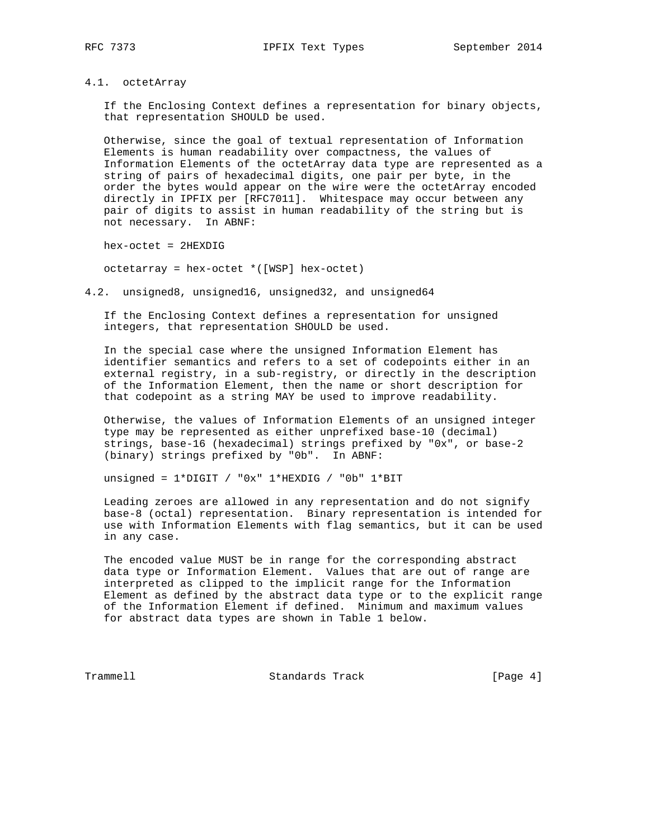## 4.1. octetArray

 If the Enclosing Context defines a representation for binary objects, that representation SHOULD be used.

 Otherwise, since the goal of textual representation of Information Elements is human readability over compactness, the values of Information Elements of the octetArray data type are represented as a string of pairs of hexadecimal digits, one pair per byte, in the order the bytes would appear on the wire were the octetArray encoded directly in IPFIX per [RFC7011]. Whitespace may occur between any pair of digits to assist in human readability of the string but is not necessary. In ABNF:

hex-octet = 2HEXDIG

octetarray = hex-octet \*([WSP] hex-octet)

4.2. unsigned8, unsigned16, unsigned32, and unsigned64

 If the Enclosing Context defines a representation for unsigned integers, that representation SHOULD be used.

 In the special case where the unsigned Information Element has identifier semantics and refers to a set of codepoints either in an external registry, in a sub-registry, or directly in the description of the Information Element, then the name or short description for that codepoint as a string MAY be used to improve readability.

 Otherwise, the values of Information Elements of an unsigned integer type may be represented as either unprefixed base-10 (decimal) strings, base-16 (hexadecimal) strings prefixed by "0x", or base-2 (binary) strings prefixed by "0b". In ABNF:

unsigned = 1\*DIGIT / "0x" 1\*HEXDIG / "0b" 1\*BIT

 Leading zeroes are allowed in any representation and do not signify base-8 (octal) representation. Binary representation is intended for use with Information Elements with flag semantics, but it can be used in any case.

 The encoded value MUST be in range for the corresponding abstract data type or Information Element. Values that are out of range are interpreted as clipped to the implicit range for the Information Element as defined by the abstract data type or to the explicit range of the Information Element if defined. Minimum and maximum values for abstract data types are shown in Table 1 below.

Trammell Standards Track [Page 4]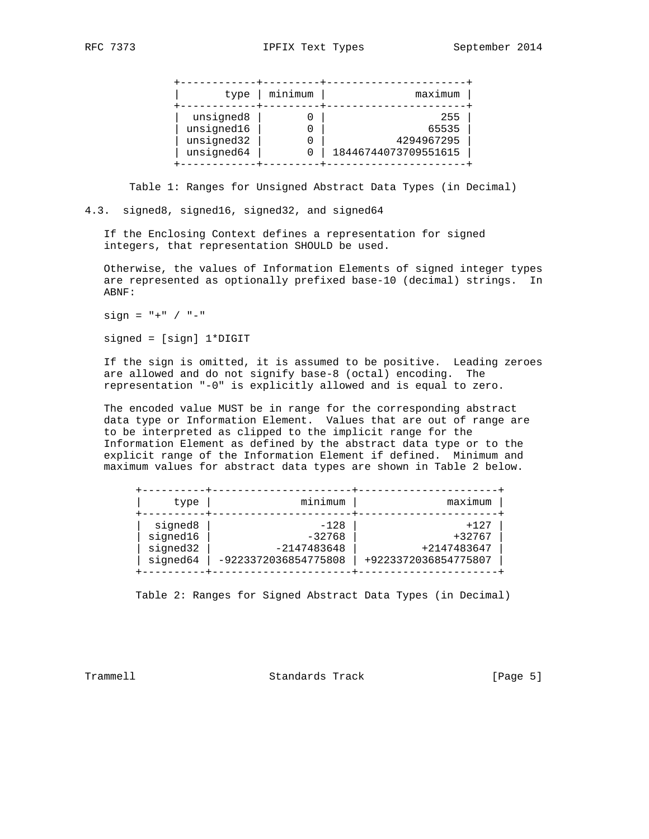| type                                                | minimum | maximum                                            |
|-----------------------------------------------------|---------|----------------------------------------------------|
| unsigned8<br>unsigned16<br>unsigned32<br>unsigned64 |         | 255<br>65535<br>4294967295<br>18446744073709551615 |

Table 1: Ranges for Unsigned Abstract Data Types (in Decimal)

4.3. signed8, signed16, signed32, and signed64

 If the Enclosing Context defines a representation for signed integers, that representation SHOULD be used.

 Otherwise, the values of Information Elements of signed integer types are represented as optionally prefixed base-10 (decimal) strings. In ABNF:

 $sign = " + " / " -"$ 

signed = [sign] 1\*DIGIT

 If the sign is omitted, it is assumed to be positive. Leading zeroes are allowed and do not signify base-8 (octal) encoding. The representation "-0" is explicitly allowed and is equal to zero.

 The encoded value MUST be in range for the corresponding abstract data type or Information Element. Values that are out of range are to be interpreted as clipped to the implicit range for the Information Element as defined by the abstract data type or to the explicit range of the Information Element if defined. Minimum and maximum values for abstract data types are shown in Table 2 below.

| type     | minimum              | maximum              |
|----------|----------------------|----------------------|
| signed8  | $-128$               | $+127$               |
| signed16 | $-32768$             | $+32767$             |
| signed32 | $-2147483648$        | +2147483647          |
| signed64 | -9223372036854775808 | +9223372036854775807 |

Table 2: Ranges for Signed Abstract Data Types (in Decimal)

Trammell **Standards Track** [Page 5]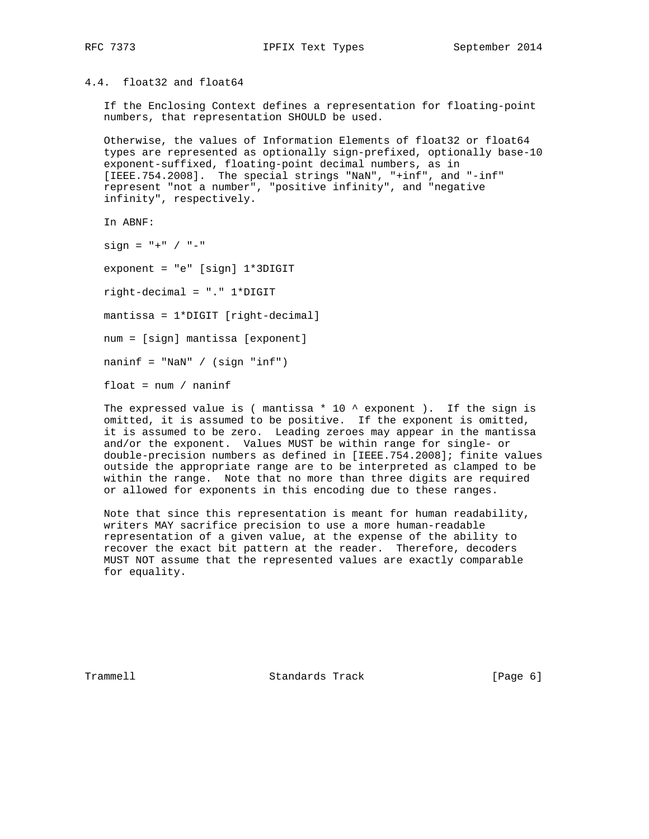# 4.4. float32 and float64

 If the Enclosing Context defines a representation for floating-point numbers, that representation SHOULD be used.

 Otherwise, the values of Information Elements of float32 or float64 types are represented as optionally sign-prefixed, optionally base-10 exponent-suffixed, floating-point decimal numbers, as in [IEEE.754.2008]. The special strings "NaN", "+inf", and "-inf" represent "not a number", "positive infinity", and "negative infinity", respectively.

In ABNF:

 $sign = " +" / " -"$ 

exponent = "e" [sign] 1\*3DIGIT

right-decimal = "." 1\*DIGIT

mantissa = 1\*DIGIT [right-decimal]

num = [sign] mantissa [exponent]

 $n_{\text{min}}f = "NaN" / (sign "inf")$ 

float = num / naninf

The expressed value is ( mantissa  $*$  10  $*$  exponent ). If the sign is omitted, it is assumed to be positive. If the exponent is omitted, it is assumed to be zero. Leading zeroes may appear in the mantissa and/or the exponent. Values MUST be within range for single- or double-precision numbers as defined in [IEEE.754.2008]; finite values outside the appropriate range are to be interpreted as clamped to be within the range. Note that no more than three digits are required or allowed for exponents in this encoding due to these ranges.

 Note that since this representation is meant for human readability, writers MAY sacrifice precision to use a more human-readable representation of a given value, at the expense of the ability to recover the exact bit pattern at the reader. Therefore, decoders MUST NOT assume that the represented values are exactly comparable for equality.

Trammell **Standards Track** [Page 6]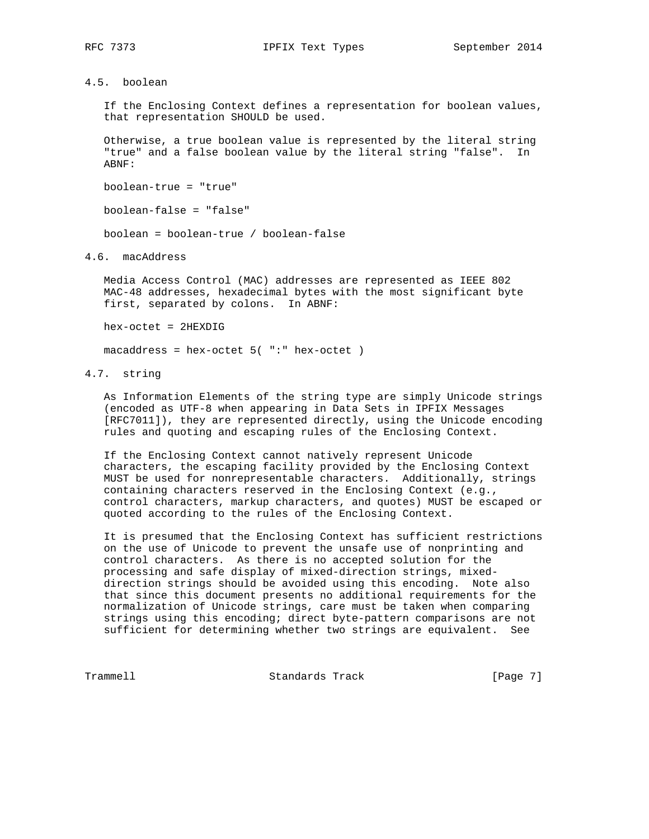# 4.5. boolean

 If the Enclosing Context defines a representation for boolean values, that representation SHOULD be used.

 Otherwise, a true boolean value is represented by the literal string "true" and a false boolean value by the literal string "false". In ABNF:

boolean-true = "true"

boolean-false = "false"

boolean = boolean-true / boolean-false

4.6. macAddress

 Media Access Control (MAC) addresses are represented as IEEE 802 MAC-48 addresses, hexadecimal bytes with the most significant byte first, separated by colons. In ABNF:

hex-octet = 2HEXDIG

 $macaddress = hex-octet 5('":' hex-octet )$ 

## 4.7. string

 As Information Elements of the string type are simply Unicode strings (encoded as UTF-8 when appearing in Data Sets in IPFIX Messages [RFC7011]), they are represented directly, using the Unicode encoding rules and quoting and escaping rules of the Enclosing Context.

 If the Enclosing Context cannot natively represent Unicode characters, the escaping facility provided by the Enclosing Context MUST be used for nonrepresentable characters. Additionally, strings containing characters reserved in the Enclosing Context (e.g., control characters, markup characters, and quotes) MUST be escaped or quoted according to the rules of the Enclosing Context.

 It is presumed that the Enclosing Context has sufficient restrictions on the use of Unicode to prevent the unsafe use of nonprinting and control characters. As there is no accepted solution for the processing and safe display of mixed-direction strings, mixed direction strings should be avoided using this encoding. Note also that since this document presents no additional requirements for the normalization of Unicode strings, care must be taken when comparing strings using this encoding; direct byte-pattern comparisons are not sufficient for determining whether two strings are equivalent. See

Trammell **Standards Track** [Page 7]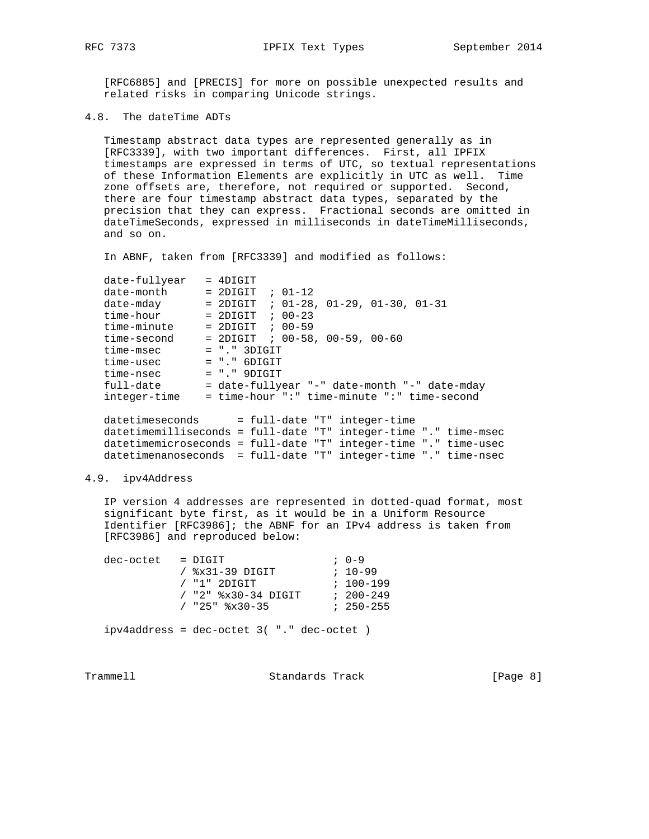[RFC6885] and [PRECIS] for more on possible unexpected results and related risks in comparing Unicode strings.

4.8. The dateTime ADTs

 Timestamp abstract data types are represented generally as in [RFC3339], with two important differences. First, all IPFIX timestamps are expressed in terms of UTC, so textual representations of these Information Elements are explicitly in UTC as well. Time zone offsets are, therefore, not required or supported. Second, there are four timestamp abstract data types, separated by the precision that they can express. Fractional seconds are omitted in dateTimeSeconds, expressed in milliseconds in dateTimeMilliseconds, and so on.

In ABNF, taken from [RFC3339] and modified as follows:

| date-fullyear   | $=$ 4DIGTT                                                      |
|-----------------|-----------------------------------------------------------------|
| date-month      | $= 2$ DIGIT ; 01-12                                             |
| date-mday       | $= 2$ DIGIT ; 01-28, 01-29, 01-30, 01-31                        |
| time-hour       | $= 2DIGIT$ ; 00-23                                              |
| time-minute     | $= 2DIGIT$ ; 00-59                                              |
| time-second     | $= 2$ DIGIT ; 00-58, 00-59, 00-60                               |
| time-msec       | $= "." 3DIGIT$                                                  |
| time-usec       | $= "." 6$ DIGIT                                                 |
| time-nsec       | $= "." 9$ DIGIT                                                 |
| full-date       | = date-fullyear "-" date-month "-" date-mday                    |
| integer-time    | = time-hour ":" time-minute ":" time-second                     |
|                 |                                                                 |
| datetimeseconds | = full-date "T" integer-time                                    |
|                 | datetimemilliseconds = full-date "T" integer-time "." time-msec |

 datetimemicroseconds = full-date "T" integer-time "." time-usec datetimenanoseconds = full-date "T" integer-time "." time-nsec

## 4.9. ipv4Address

 IP version 4 addresses are represented in dotted-quad format, most significant byte first, as it would be in a Uniform Resource Identifier [RFC3986]; the ABNF for an IPv4 address is taken from [RFC3986] and reproduced below:

| dec-octet | = DIGIT                                                  | $7.0 - 9$     |
|-----------|----------------------------------------------------------|---------------|
|           | / $8x31-39$ DIGIT                                        | $: 10 - 99$   |
|           | $/$ "1" 2DIGIT                                           | $: 100 - 199$ |
|           | $/$ "2" $\frac{2}{3} \times 30 - 34$ DIGIT               | $200 - 249$   |
|           | $/$ "25" $\frac{25}{10}$ $\frac{25}{10}$ $\frac{25}{10}$ | $250 - 255$   |
|           |                                                          |               |

ipv4address = dec-octet 3( "." dec-octet )

Trammell **Standards Track** [Page 8]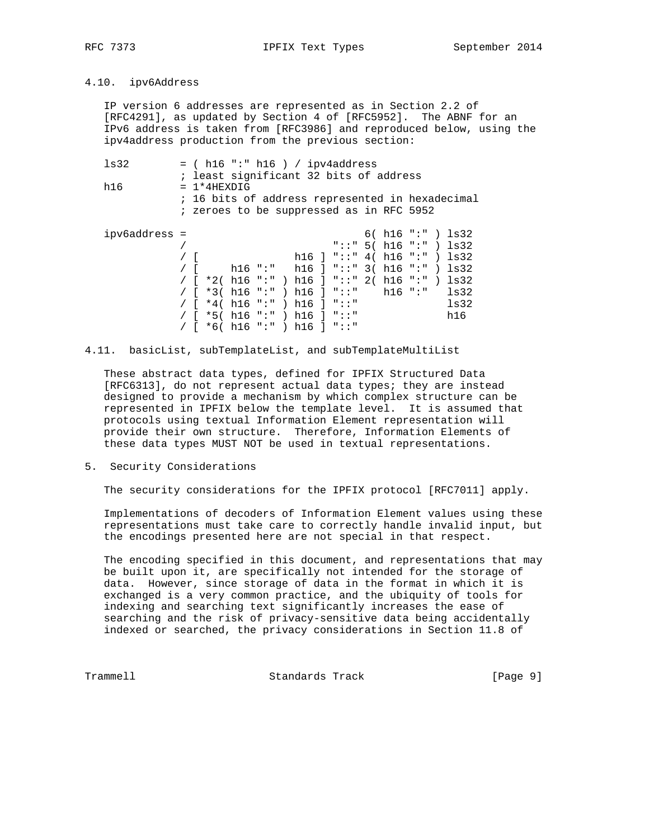# 4.10. ipv6Address

 IP version 6 addresses are represented as in Section 2.2 of [RFC4291], as updated by Section 4 of [RFC5952]. The ABNF for an IPv6 address is taken from [RFC3986] and reproduced below, using the ipv4address production from the previous section:

| 1s32          |  | $=$ ( h16 ":" h16 ) / ipv4address      |  |  |  |                         |  |                                                    |  |  |  |  |                                                 |
|---------------|--|----------------------------------------|--|--|--|-------------------------|--|----------------------------------------------------|--|--|--|--|-------------------------------------------------|
|               |  | ; least significant 32 bits of address |  |  |  |                         |  |                                                    |  |  |  |  |                                                 |
| h16           |  | $= 1*4HEXDIG$                          |  |  |  |                         |  |                                                    |  |  |  |  |                                                 |
|               |  |                                        |  |  |  |                         |  |                                                    |  |  |  |  | ; 16 bits of address represented in hexadecimal |
|               |  |                                        |  |  |  |                         |  | ; zeroes to be suppressed as in RFC 5952           |  |  |  |  |                                                 |
| ipv6address = |  |                                        |  |  |  |                         |  |                                                    |  |  |  |  | $6() h16$ ":" ) $ls32$                          |
|               |  |                                        |  |  |  |                         |  | "::" $5( h16 "::") ls32$                           |  |  |  |  |                                                 |
|               |  |                                        |  |  |  |                         |  |                                                    |  |  |  |  |                                                 |
|               |  |                                        |  |  |  |                         |  | h16 ] "::" 4( h16 ":" ) ls32                       |  |  |  |  |                                                 |
|               |  |                                        |  |  |  |                         |  | h16 ":" h16 ] "::" $3($ h16 ":" $)$ 1s32           |  |  |  |  |                                                 |
|               |  |                                        |  |  |  |                         |  | / [ $*2( h16 :: " ) h16 ] :: " 2( h16 :: " ) ls32$ |  |  |  |  |                                                 |
|               |  |                                        |  |  |  |                         |  | / $\lceil$ *3( h16 ":" ) h16 ] "::" h16 ":" ls32   |  |  |  |  |                                                 |
|               |  |                                        |  |  |  |                         |  | / $\lceil$ *4( h16 ":" ) h16 ] "::"                |  |  |  |  | 1s32                                            |
|               |  |                                        |  |  |  |                         |  | $*5() h16 "::") h16 ] "::"$                        |  |  |  |  | h16                                             |
|               |  |                                        |  |  |  | / [ *6( h16 ":" ) h16 ] |  | $\blacksquare$ , , , , , , ,                       |  |  |  |  |                                                 |

4.11. basicList, subTemplateList, and subTemplateMultiList

 These abstract data types, defined for IPFIX Structured Data [RFC6313], do not represent actual data types; they are instead designed to provide a mechanism by which complex structure can be represented in IPFIX below the template level. It is assumed that protocols using textual Information Element representation will provide their own structure. Therefore, Information Elements of these data types MUST NOT be used in textual representations.

5. Security Considerations

The security considerations for the IPFIX protocol [RFC7011] apply.

 Implementations of decoders of Information Element values using these representations must take care to correctly handle invalid input, but the encodings presented here are not special in that respect.

 The encoding specified in this document, and representations that may be built upon it, are specifically not intended for the storage of data. However, since storage of data in the format in which it is exchanged is a very common practice, and the ubiquity of tools for indexing and searching text significantly increases the ease of searching and the risk of privacy-sensitive data being accidentally indexed or searched, the privacy considerations in Section 11.8 of

Trammell Standards Track [Page 9]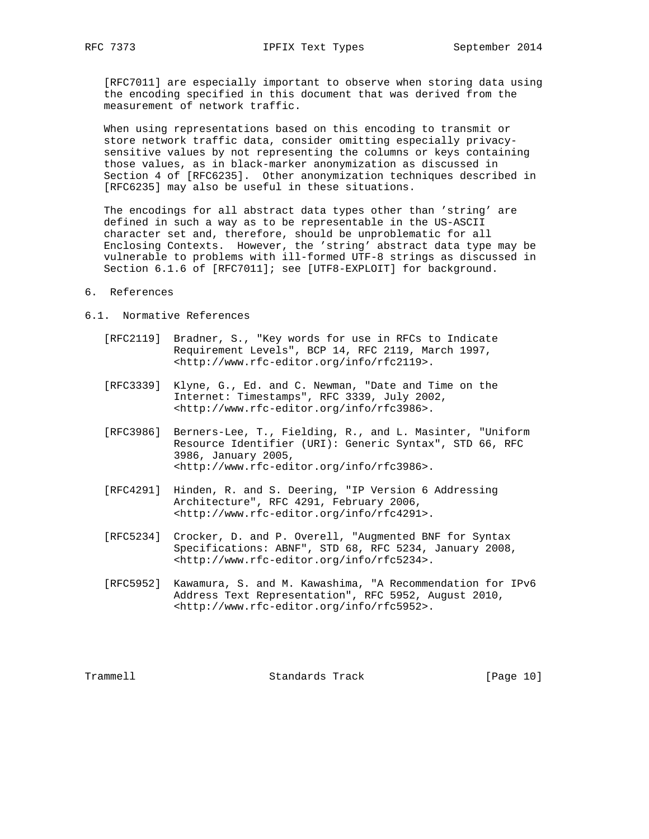[RFC7011] are especially important to observe when storing data using the encoding specified in this document that was derived from the measurement of network traffic.

 When using representations based on this encoding to transmit or store network traffic data, consider omitting especially privacy sensitive values by not representing the columns or keys containing those values, as in black-marker anonymization as discussed in Section 4 of [RFC6235]. Other anonymization techniques described in [RFC6235] may also be useful in these situations.

 The encodings for all abstract data types other than 'string' are defined in such a way as to be representable in the US-ASCII character set and, therefore, should be unproblematic for all Enclosing Contexts. However, the 'string' abstract data type may be vulnerable to problems with ill-formed UTF-8 strings as discussed in Section 6.1.6 of [RFC7011]; see [UTF8-EXPLOIT] for background.

### 6. References

#### 6.1. Normative References

- [RFC2119] Bradner, S., "Key words for use in RFCs to Indicate Requirement Levels", BCP 14, RFC 2119, March 1997, <http://www.rfc-editor.org/info/rfc2119>.
- [RFC3339] Klyne, G., Ed. and C. Newman, "Date and Time on the Internet: Timestamps", RFC 3339, July 2002, <http://www.rfc-editor.org/info/rfc3986>.
- [RFC3986] Berners-Lee, T., Fielding, R., and L. Masinter, "Uniform Resource Identifier (URI): Generic Syntax", STD 66, RFC 3986, January 2005, <http://www.rfc-editor.org/info/rfc3986>.
- [RFC4291] Hinden, R. and S. Deering, "IP Version 6 Addressing Architecture", RFC 4291, February 2006, <http://www.rfc-editor.org/info/rfc4291>.
- [RFC5234] Crocker, D. and P. Overell, "Augmented BNF for Syntax Specifications: ABNF", STD 68, RFC 5234, January 2008, <http://www.rfc-editor.org/info/rfc5234>.
- [RFC5952] Kawamura, S. and M. Kawashima, "A Recommendation for IPv6 Address Text Representation", RFC 5952, August 2010, <http://www.rfc-editor.org/info/rfc5952>.

Trammell Standards Track [Page 10]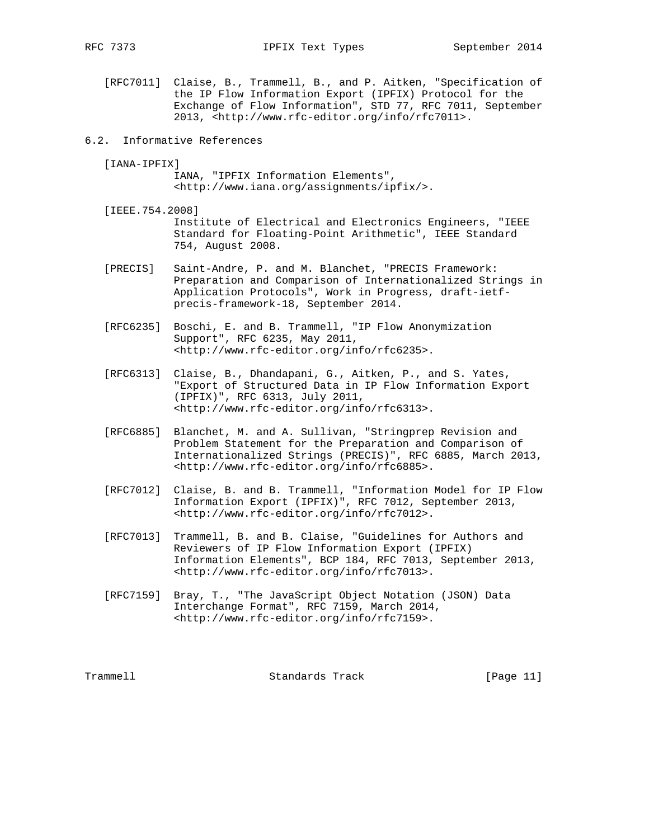- [RFC7011] Claise, B., Trammell, B., and P. Aitken, "Specification of the IP Flow Information Export (IPFIX) Protocol for the Exchange of Flow Information", STD 77, RFC 7011, September 2013, <http://www.rfc-editor.org/info/rfc7011>.
- 6.2. Informative References

[IANA-IPFIX]

 IANA, "IPFIX Information Elements", <http://www.iana.org/assignments/ipfix/>.

- [IEEE.754.2008] Institute of Electrical and Electronics Engineers, "IEEE Standard for Floating-Point Arithmetic", IEEE Standard 754, August 2008.
- [PRECIS] Saint-Andre, P. and M. Blanchet, "PRECIS Framework: Preparation and Comparison of Internationalized Strings in Application Protocols", Work in Progress, draft-ietf precis-framework-18, September 2014.
- [RFC6235] Boschi, E. and B. Trammell, "IP Flow Anonymization Support", RFC 6235, May 2011, <http://www.rfc-editor.org/info/rfc6235>.
- [RFC6313] Claise, B., Dhandapani, G., Aitken, P., and S. Yates, "Export of Structured Data in IP Flow Information Export (IPFIX)", RFC 6313, July 2011, <http://www.rfc-editor.org/info/rfc6313>.
- [RFC6885] Blanchet, M. and A. Sullivan, "Stringprep Revision and Problem Statement for the Preparation and Comparison of Internationalized Strings (PRECIS)", RFC 6885, March 2013, <http://www.rfc-editor.org/info/rfc6885>.
- [RFC7012] Claise, B. and B. Trammell, "Information Model for IP Flow Information Export (IPFIX)", RFC 7012, September 2013, <http://www.rfc-editor.org/info/rfc7012>.
- [RFC7013] Trammell, B. and B. Claise, "Guidelines for Authors and Reviewers of IP Flow Information Export (IPFIX) Information Elements", BCP 184, RFC 7013, September 2013, <http://www.rfc-editor.org/info/rfc7013>.
- [RFC7159] Bray, T., "The JavaScript Object Notation (JSON) Data Interchange Format", RFC 7159, March 2014, <http://www.rfc-editor.org/info/rfc7159>.

Trammell Standards Track [Page 11]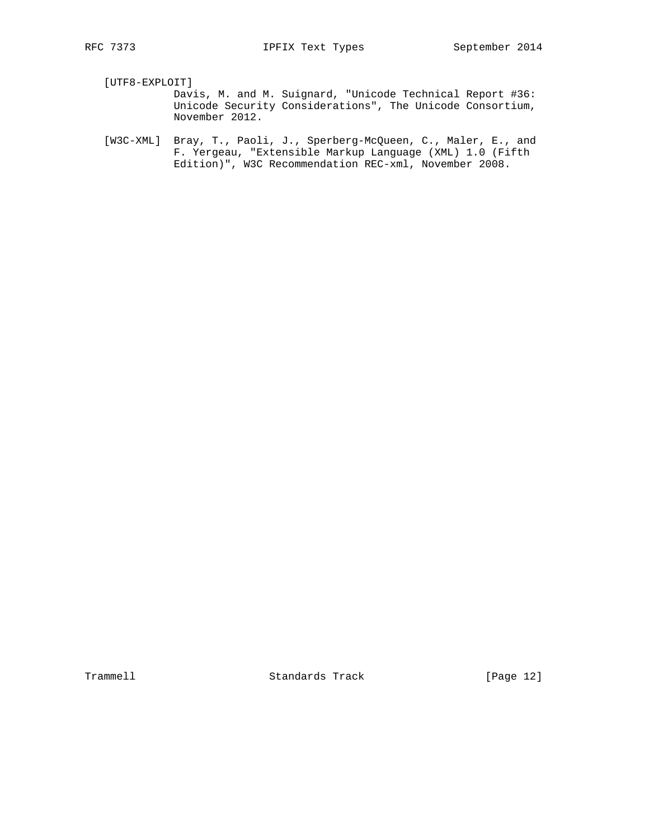[UTF8-EXPLOIT]

 Davis, M. and M. Suignard, "Unicode Technical Report #36: Unicode Security Considerations", The Unicode Consortium, November 2012.

 [W3C-XML] Bray, T., Paoli, J., Sperberg-McQueen, C., Maler, E., and F. Yergeau, "Extensible Markup Language (XML) 1.0 (Fifth Edition)", W3C Recommendation REC-xml, November 2008.

Trammell Standards Track [Page 12]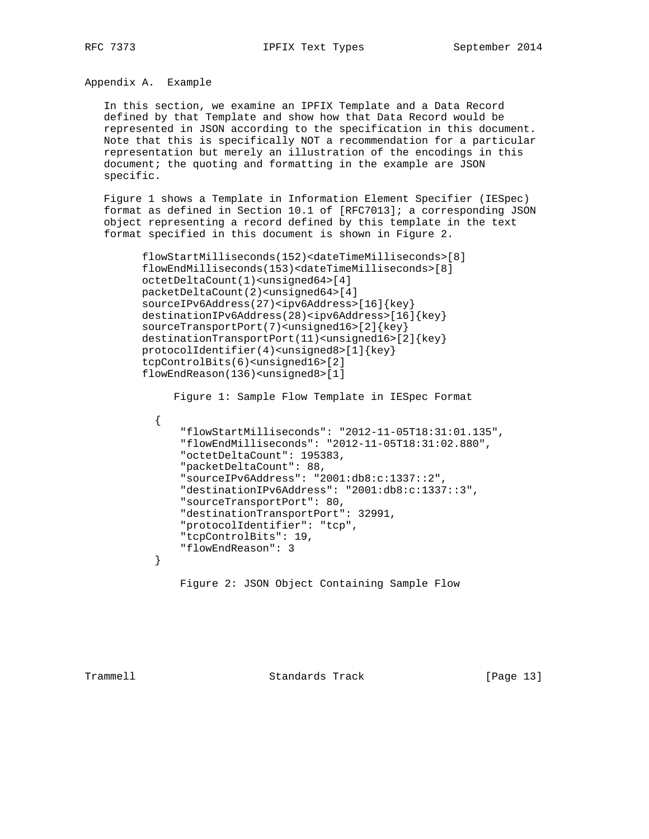Appendix A. Example

 In this section, we examine an IPFIX Template and a Data Record defined by that Template and show how that Data Record would be represented in JSON according to the specification in this document. Note that this is specifically NOT a recommendation for a particular representation but merely an illustration of the encodings in this document; the quoting and formatting in the example are JSON specific.

 Figure 1 shows a Template in Information Element Specifier (IESpec) format as defined in Section 10.1 of [RFC7013]; a corresponding JSON object representing a record defined by this template in the text format specified in this document is shown in Figure 2.

```
 flowStartMilliseconds(152)<dateTimeMilliseconds>[8]
flowEndMilliseconds(153)<dateTimeMilliseconds>[8]
octetDeltaCount(1)<unsigned64>[4]
packetDeltaCount(2)<unsigned64>[4]
sourceIPv6Address(27)<ipv6Address>[16]{key}
destinationIPv6Address(28)<ipv6Address>[16]{key}
sourceTransportPort(7)<unsigned16>[2]{key}
destinationTransportPort(11)<unsigned16>[2]{key}
protocolIdentifier(4)<unsigned8>[1]{key}
tcpControlBits(6)<unsigned16>[2]
flowEndReason(136)<unsigned8>[1]
```

```
 Figure 1: Sample Flow Template in IESpec Format
```

```
\{ "flowStartMilliseconds": "2012-11-05T18:31:01.135",
              "flowEndMilliseconds": "2012-11-05T18:31:02.880",
              "octetDeltaCount": 195383,
              "packetDeltaCount": 88,
              "sourceIPv6Address": "2001:db8:c:1337::2",
              "destinationIPv6Address": "2001:db8:c:1337::3",
              "sourceTransportPort": 80,
              "destinationTransportPort": 32991,
              "protocolIdentifier": "tcp",
              "tcpControlBits": 19,
          "flowEndReason": 3
}
```

```
 Figure 2: JSON Object Containing Sample Flow
```
Trammell Standards Track [Page 13]